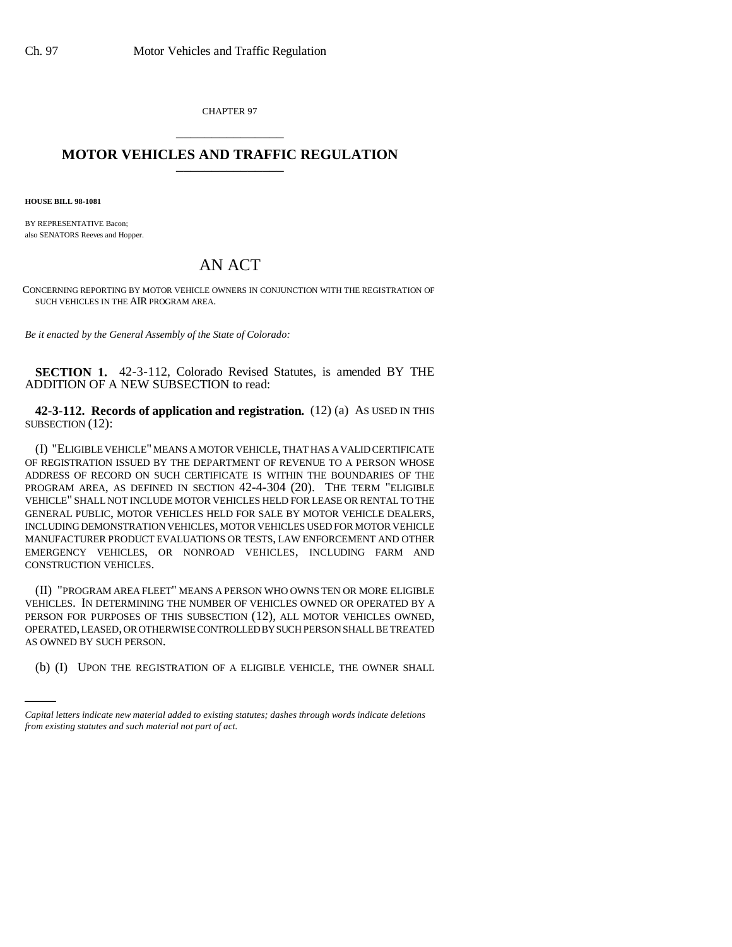CHAPTER 97 \_\_\_\_\_\_\_\_\_\_\_\_\_\_\_

## **MOTOR VEHICLES AND TRAFFIC REGULATION** \_\_\_\_\_\_\_\_\_\_\_\_\_\_\_

**HOUSE BILL 98-1081**

BY REPRESENTATIVE Bacon; also SENATORS Reeves and Hopper.

## AN ACT

CONCERNING REPORTING BY MOTOR VEHICLE OWNERS IN CONJUNCTION WITH THE REGISTRATION OF SUCH VEHICLES IN THE AIR PROGRAM AREA.

*Be it enacted by the General Assembly of the State of Colorado:*

**SECTION 1.** 42-3-112, Colorado Revised Statutes, is amended BY THE ADDITION OF A NEW SUBSECTION to read:

**42-3-112. Records of application and registration.** (12) (a) AS USED IN THIS SUBSECTION (12):

(I) "ELIGIBLE VEHICLE" MEANS A MOTOR VEHICLE, THAT HAS A VALID CERTIFICATE OF REGISTRATION ISSUED BY THE DEPARTMENT OF REVENUE TO A PERSON WHOSE ADDRESS OF RECORD ON SUCH CERTIFICATE IS WITHIN THE BOUNDARIES OF THE PROGRAM AREA, AS DEFINED IN SECTION 42-4-304 (20). THE TERM "ELIGIBLE VEHICLE" SHALL NOT INCLUDE MOTOR VEHICLES HELD FOR LEASE OR RENTAL TO THE GENERAL PUBLIC, MOTOR VEHICLES HELD FOR SALE BY MOTOR VEHICLE DEALERS, INCLUDING DEMONSTRATION VEHICLES, MOTOR VEHICLES USED FOR MOTOR VEHICLE MANUFACTURER PRODUCT EVALUATIONS OR TESTS, LAW ENFORCEMENT AND OTHER EMERGENCY VEHICLES, OR NONROAD VEHICLES, INCLUDING FARM AND CONSTRUCTION VEHICLES.

AS OWNED BY SUCH PERSON. (II) "PROGRAM AREA FLEET" MEANS A PERSON WHO OWNS TEN OR MORE ELIGIBLE VEHICLES. IN DETERMINING THE NUMBER OF VEHICLES OWNED OR OPERATED BY A PERSON FOR PURPOSES OF THIS SUBSECTION (12), ALL MOTOR VEHICLES OWNED, OPERATED, LEASED, OR OTHERWISE CONTROLLED BY SUCH PERSON SHALL BE TREATED

(b) (I) UPON THE REGISTRATION OF A ELIGIBLE VEHICLE, THE OWNER SHALL

*Capital letters indicate new material added to existing statutes; dashes through words indicate deletions from existing statutes and such material not part of act.*